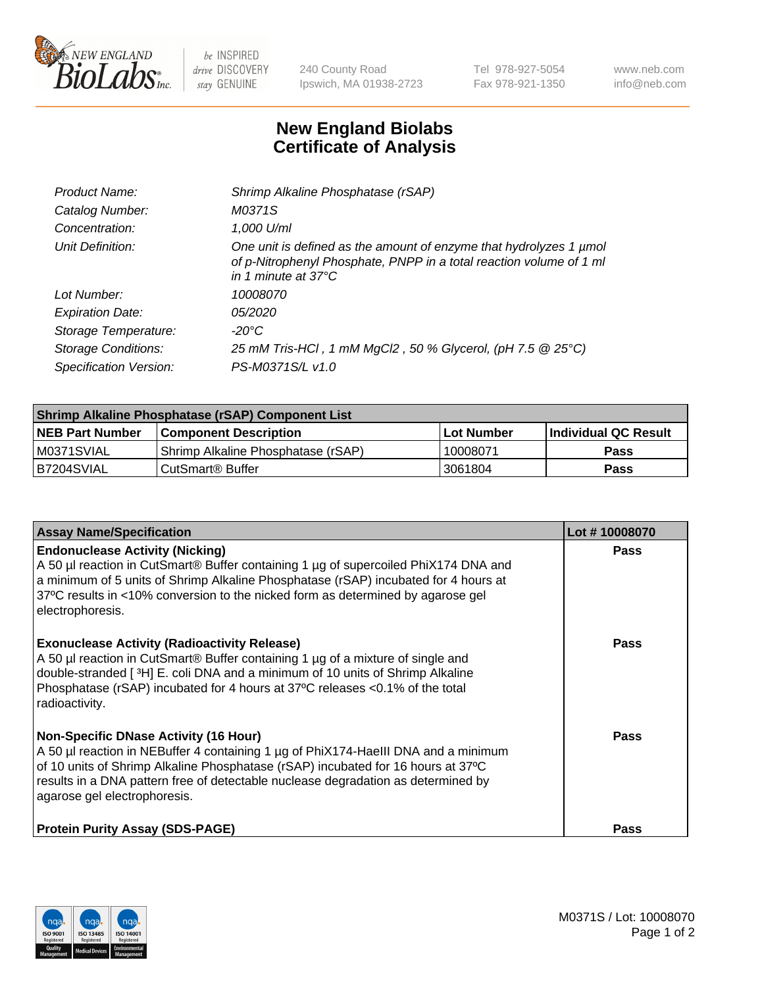

 $be$  INSPIRED drive DISCOVERY stay GENUINE

240 County Road Ipswich, MA 01938-2723 Tel 978-927-5054 Fax 978-921-1350 www.neb.com info@neb.com

## **New England Biolabs Certificate of Analysis**

| Product Name:              | Shrimp Alkaline Phosphatase (rSAP)                                                                                                                                         |
|----------------------------|----------------------------------------------------------------------------------------------------------------------------------------------------------------------------|
| Catalog Number:            | M0371S                                                                                                                                                                     |
| Concentration:             | 1,000 U/ml                                                                                                                                                                 |
| Unit Definition:           | One unit is defined as the amount of enzyme that hydrolyzes 1 µmol<br>of p-Nitrophenyl Phosphate, PNPP in a total reaction volume of 1 ml<br>in 1 minute at $37^{\circ}$ C |
| Lot Number:                | 10008070                                                                                                                                                                   |
| <b>Expiration Date:</b>    | <i>05/2020</i>                                                                                                                                                             |
| Storage Temperature:       | $-20^{\circ}$ C                                                                                                                                                            |
| <b>Storage Conditions:</b> | 25 mM Tris-HCl, 1 mM MgCl2, 50 % Glycerol, (pH 7.5 @ 25°C)                                                                                                                 |
| Specification Version:     | PS-M0371S/L v1.0                                                                                                                                                           |

| Shrimp Alkaline Phosphatase (rSAP) Component List |                                    |              |                      |  |
|---------------------------------------------------|------------------------------------|--------------|----------------------|--|
| <b>NEB Part Number</b>                            | <b>Component Description</b>       | l Lot Number | Individual QC Result |  |
| IM0371SVIAL                                       | Shrimp Alkaline Phosphatase (rSAP) | 10008071     | <b>Pass</b>          |  |
| B7204SVIAL                                        | CutSmart® Buffer                   | 13061804     | Pass                 |  |

| <b>Assay Name/Specification</b>                                                                                                                                                                                                                                                                                                             | Lot #10008070 |
|---------------------------------------------------------------------------------------------------------------------------------------------------------------------------------------------------------------------------------------------------------------------------------------------------------------------------------------------|---------------|
| <b>Endonuclease Activity (Nicking)</b><br>A 50 µl reaction in CutSmart® Buffer containing 1 µg of supercoiled PhiX174 DNA and<br>a minimum of 5 units of Shrimp Alkaline Phosphatase (rSAP) incubated for 4 hours at<br>37°C results in <10% conversion to the nicked form as determined by agarose gel<br>electrophoresis.                 | <b>Pass</b>   |
| <b>Exonuclease Activity (Radioactivity Release)</b><br>A 50 µl reaction in CutSmart® Buffer containing 1 µg of a mixture of single and<br>double-stranded [3H] E. coli DNA and a minimum of 10 units of Shrimp Alkaline<br>Phosphatase (rSAP) incubated for 4 hours at 37°C releases <0.1% of the total<br>radioactivity.                   | <b>Pass</b>   |
| <b>Non-Specific DNase Activity (16 Hour)</b><br>A 50 µl reaction in NEBuffer 4 containing 1 µg of PhiX174-HaellI DNA and a minimum<br>of 10 units of Shrimp Alkaline Phosphatase (rSAP) incubated for 16 hours at 37°C<br>results in a DNA pattern free of detectable nuclease degradation as determined by<br>agarose gel electrophoresis. | Pass          |
| <b>Protein Purity Assay (SDS-PAGE)</b>                                                                                                                                                                                                                                                                                                      | <b>Pass</b>   |